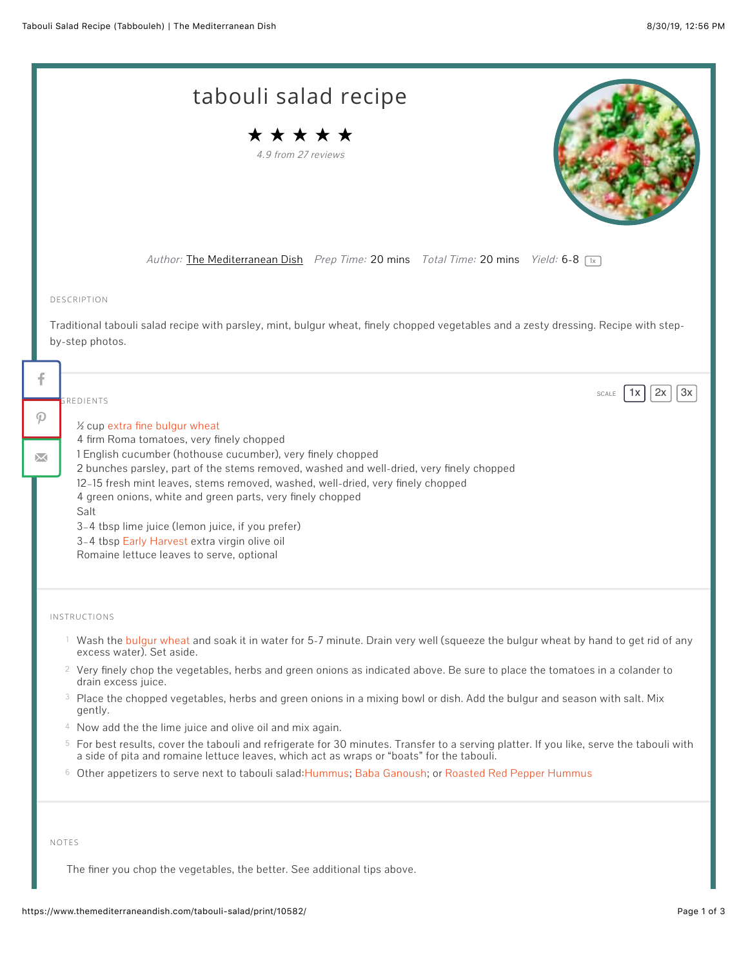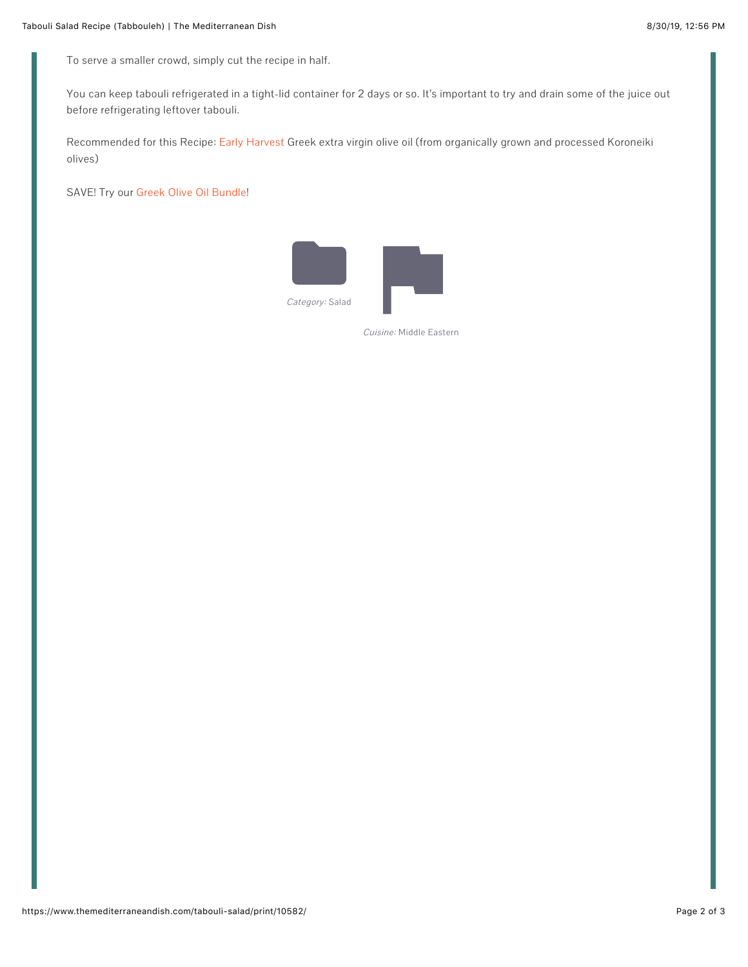To serve a smaller crowd, simply cut the recipe in half.

You can keep tabouli refrigerated in a tight-lid container for 2 days or so. It's important to try and drain some of the juice out before refrigerating leftover tabouli.

Recommended for this Recipe: [Early Harvest](https://www.themediterraneandish.com/product/early-harvest-extra-virgin-olive-oil/) Greek extra virgin olive oil (from organically grown and processed Koroneiki olives)

SAVE! Try our [Greek Olive Oil Bundle!](https://www.themediterraneandish.com/product/extra-virgin-olive-oil-bundle/)



Cuisine: Middle Eastern